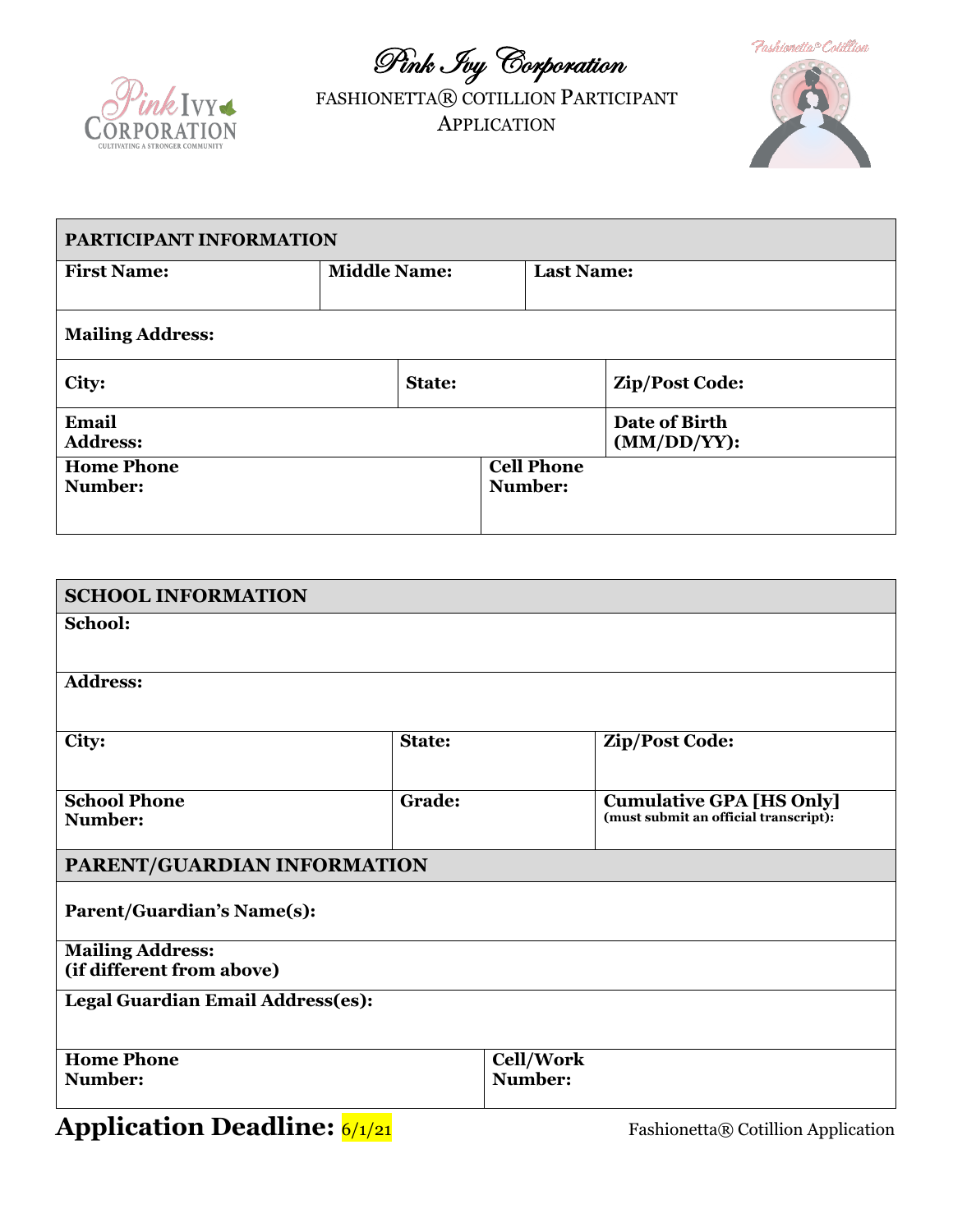Pink Ivy Corporation



FASHIONETTA® COTILLION PARTICIPANT APPLICATION



| PARTICIPANT INFORMATION      |                     |                              |                              |  |  |
|------------------------------|---------------------|------------------------------|------------------------------|--|--|
| <b>First Name:</b>           | <b>Middle Name:</b> | <b>Last Name:</b>            |                              |  |  |
| <b>Mailing Address:</b>      |                     |                              |                              |  |  |
| City:                        | <b>State:</b>       |                              | Zip/Post Code:               |  |  |
| Email<br><b>Address:</b>     |                     |                              | Date of Birth<br>(MM/DD/YY): |  |  |
| <b>Home Phone</b><br>Number: |                     | <b>Cell Phone</b><br>Number: |                              |  |  |

| <b>SCHOOL INFORMATION</b>         |        |                  |                                                                          |  |
|-----------------------------------|--------|------------------|--------------------------------------------------------------------------|--|
| School:                           |        |                  |                                                                          |  |
|                                   |        |                  |                                                                          |  |
| <b>Address:</b>                   |        |                  |                                                                          |  |
|                                   |        |                  |                                                                          |  |
| City:                             | State: |                  | Zip/Post Code:                                                           |  |
|                                   |        |                  |                                                                          |  |
| <b>School Phone</b><br>Number:    | Grade: |                  | <b>Cumulative GPA [HS Only]</b><br>(must submit an official transcript): |  |
|                                   |        |                  |                                                                          |  |
| PARENT/GUARDIAN INFORMATION       |        |                  |                                                                          |  |
| <b>Parent/Guardian's Name(s):</b> |        |                  |                                                                          |  |
|                                   |        |                  |                                                                          |  |
| <b>Mailing Address:</b>           |        |                  |                                                                          |  |
| (if different from above)         |        |                  |                                                                          |  |
| Legal Guardian Email Address(es): |        |                  |                                                                          |  |
|                                   |        |                  |                                                                          |  |
| <b>Home Phone</b>                 |        | <b>Cell/Work</b> |                                                                          |  |
| Number:                           |        | Number:          |                                                                          |  |

## **Application Deadline:**  $\frac{6}{121}$  Fashionetta® Cotillion Application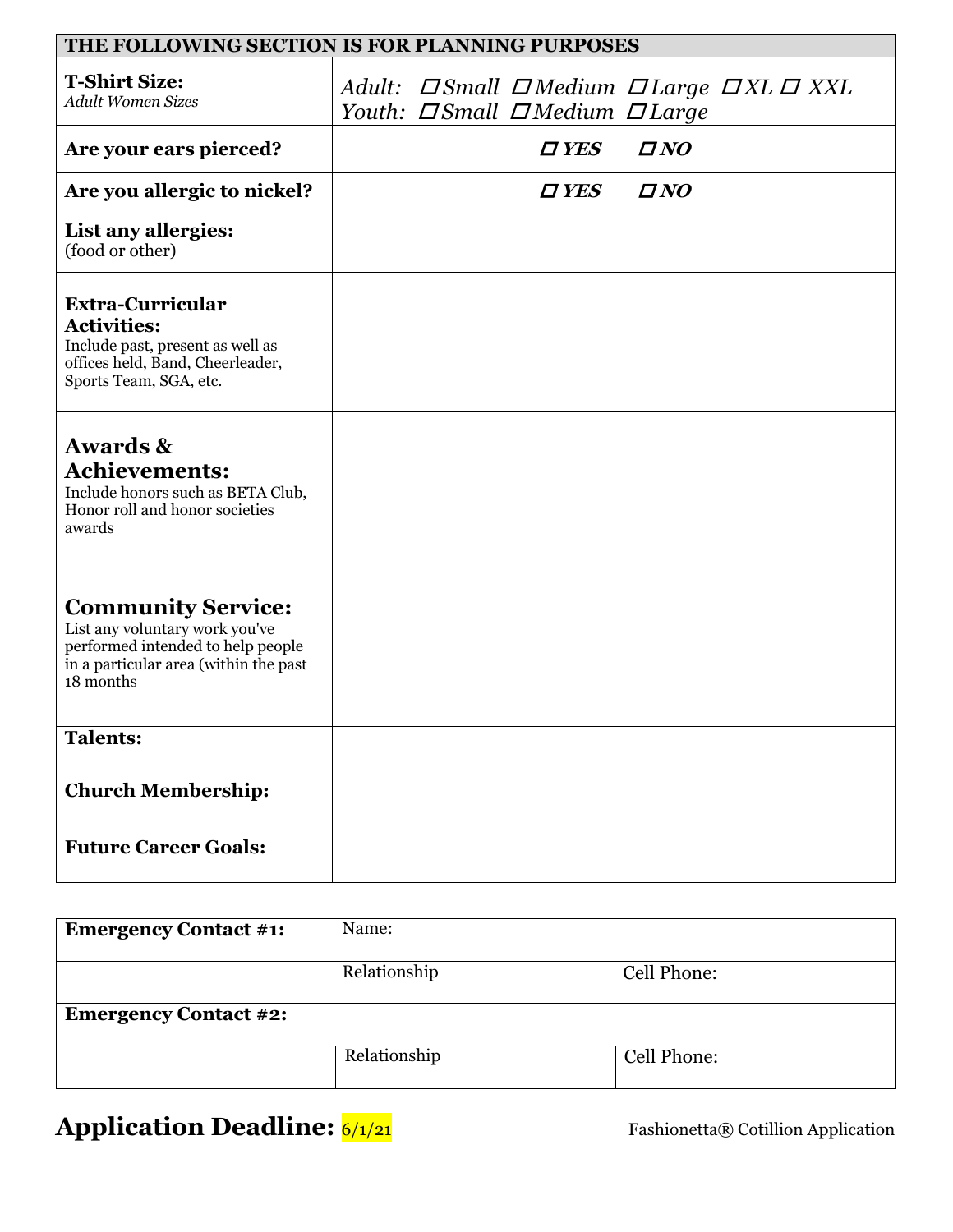| THE FOLLOWING SECTION IS FOR PLANNING PURPOSES                                                                                                         |  |  |                                    |                                                                     |
|--------------------------------------------------------------------------------------------------------------------------------------------------------|--|--|------------------------------------|---------------------------------------------------------------------|
| <b>T-Shirt Size:</b><br><b>Adult Women Sizes</b>                                                                                                       |  |  | Youth: <b>Small SMedium SLarge</b> | Adult: $\Box$ Small $\Box$ Medium $\Box$ Large $\Box$ XL $\Box$ XXL |
| Are your ears pierced?                                                                                                                                 |  |  | $\boldsymbol{\mathit{\Box}}$ YES   | $\Box$ NO                                                           |
| Are you allergic to nickel?                                                                                                                            |  |  | $\boldsymbol{\mathit{\Pi}}$ YES    | $\Box\, NO$                                                         |
| List any allergies:<br>(food or other)                                                                                                                 |  |  |                                    |                                                                     |
| <b>Extra-Curricular</b><br><b>Activities:</b><br>Include past, present as well as<br>offices held, Band, Cheerleader,<br>Sports Team, SGA, etc.        |  |  |                                    |                                                                     |
| <b>Awards &amp;</b><br><b>Achievements:</b><br>Include honors such as BETA Club,<br>Honor roll and honor societies<br>awards                           |  |  |                                    |                                                                     |
| <b>Community Service:</b><br>List any voluntary work you've<br>performed intended to help people<br>in a particular area (within the past<br>18 months |  |  |                                    |                                                                     |
| <b>Talents:</b>                                                                                                                                        |  |  |                                    |                                                                     |
| <b>Church Membership:</b>                                                                                                                              |  |  |                                    |                                                                     |
| <b>Future Career Goals:</b>                                                                                                                            |  |  |                                    |                                                                     |

| <b>Emergency Contact #1:</b> | Name:        |             |  |
|------------------------------|--------------|-------------|--|
|                              | Relationship | Cell Phone: |  |
| <b>Emergency Contact #2:</b> |              |             |  |
|                              | Relationship | Cell Phone: |  |

**Application Deadline:**  $\frac{6}{121}$  Fashionetta® Cotillion Application